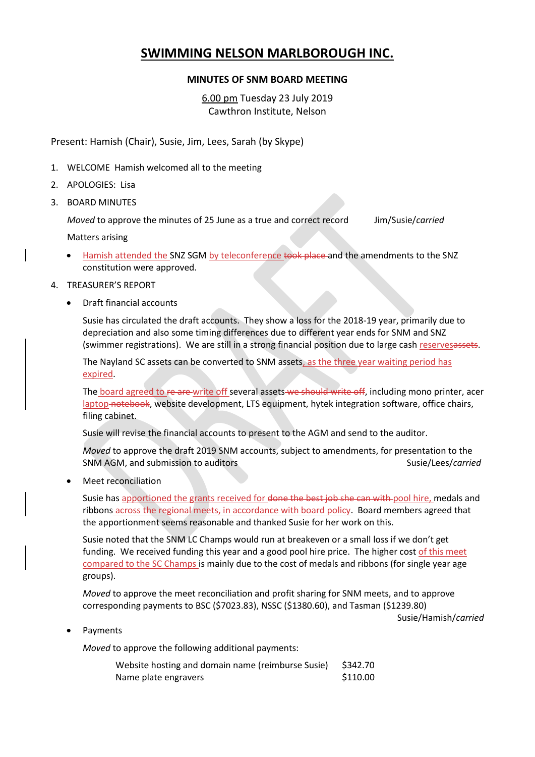# **SWIMMING NELSON MARLBOROUGH INC.**

## **MINUTES OF SNM BOARD MEETING**

6.00 pm Tuesday 23 July 2019 Cawthron Institute, Nelson

Present: Hamish (Chair), Susie, Jim, Lees, Sarah (by Skype)

- 1. WELCOME Hamish welcomed all to the meeting
- 2. APOLOGIES: Lisa
- 3. BOARD MINUTES

*Moved* to approve the minutes of 25 June as a true and correct record Jim/Susie/*carried*

Matters arising

Hamish attended the SNZ SGM by teleconference took place and the amendments to the SNZ constitution were approved.

## 4. TREASURER'S REPORT

• Draft financial accounts

Susie has circulated the draft accounts. They show a loss for the 2018-19 year, primarily due to depreciation and also some timing differences due to different year ends for SNM and SNZ (swimmer registrations). We are still in a strong financial position due to large cash reservesassets.

The Nayland SC assets can be converted to SNM assets, as the three year waiting period has expired.

The board agreed to re are write off several assets we should write off, including mono printer, acer laptop notebook, website development, LTS equipment, hytek integration software, office chairs, filing cabinet.

Susie will revise the financial accounts to present to the AGM and send to the auditor.

*Moved* to approve the draft 2019 SNM accounts, subject to amendments, for presentation to the SNM AGM, and submission to auditors Susie/Lees/*carried* Susie/Lees/*carried* 

• Meet reconciliation

Susie has apportioned the grants received for done the best job she can with pool hire, medals and ribbons across the regional meets, in accordance with board policy. Board members agreed that the apportionment seems reasonable and thanked Susie for her work on this.

Susie noted that the SNM LC Champs would run at breakeven or a small loss if we don't get funding. We received funding this year and a good pool hire price. The higher cost of this meet compared to the SC Champs is mainly due to the cost of medals and ribbons (for single year age groups).

*Moved* to approve the meet reconciliation and profit sharing for SNM meets, and to approve corresponding payments to BSC (\$7023.83), NSSC (\$1380.60), and Tasman (\$1239.80)

Susie/Hamish/*carried*

**Payments** 

*Moved* to approve the following additional payments:

| Website hosting and domain name (reimburse Susie) | \$342.70 |
|---------------------------------------------------|----------|
| Name plate engravers                              | \$110.00 |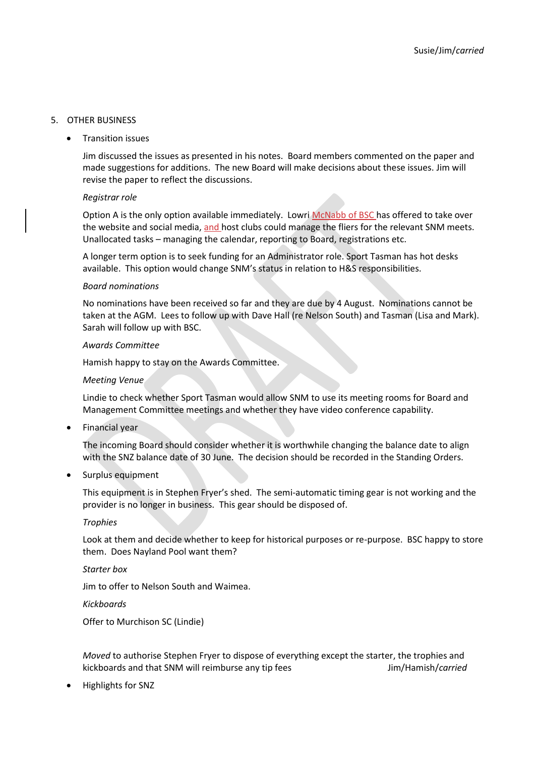## 5. OTHER BUSINESS

• Transition issues

Jim discussed the issues as presented in his notes. Board members commented on the paper and made suggestions for additions. The new Board will make decisions about these issues. Jim will revise the paper to reflect the discussions.

#### *Registrar role*

Option A is the only option available immediately. Lowri McNabb of BSC has offered to take over the website and social media, and host clubs could manage the fliers for the relevant SNM meets. Unallocated tasks – managing the calendar, reporting to Board, registrations etc.

A longer term option is to seek funding for an Administrator role. Sport Tasman has hot desks available. This option would change SNM's status in relation to H&S responsibilities.

#### *Board nominations*

No nominations have been received so far and they are due by 4 August. Nominations cannot be taken at the AGM. Lees to follow up with Dave Hall (re Nelson South) and Tasman (Lisa and Mark). Sarah will follow up with BSC.

#### *Awards Committee*

Hamish happy to stay on the Awards Committee.

#### *Meeting Venue*

Lindie to check whether Sport Tasman would allow SNM to use its meeting rooms for Board and Management Committee meetings and whether they have video conference capability.

• Financial year

The incoming Board should consider whether it is worthwhile changing the balance date to align with the SNZ balance date of 30 June. The decision should be recorded in the Standing Orders.

• Surplus equipment

This equipment is in Stephen Fryer's shed. The semi-automatic timing gear is not working and the provider is no longer in business. This gear should be disposed of.

## *Trophies*

Look at them and decide whether to keep for historical purposes or re-purpose. BSC happy to store them. Does Nayland Pool want them?

*Starter box*

Jim to offer to Nelson South and Waimea.

*Kickboards*

Offer to Murchison SC (Lindie)

*Moved* to authorise Stephen Fryer to dispose of everything except the starter, the trophies and kickboards and that SNM will reimburse any tip fees Jim/Hamish/*carried* 

• Highlights for SNZ